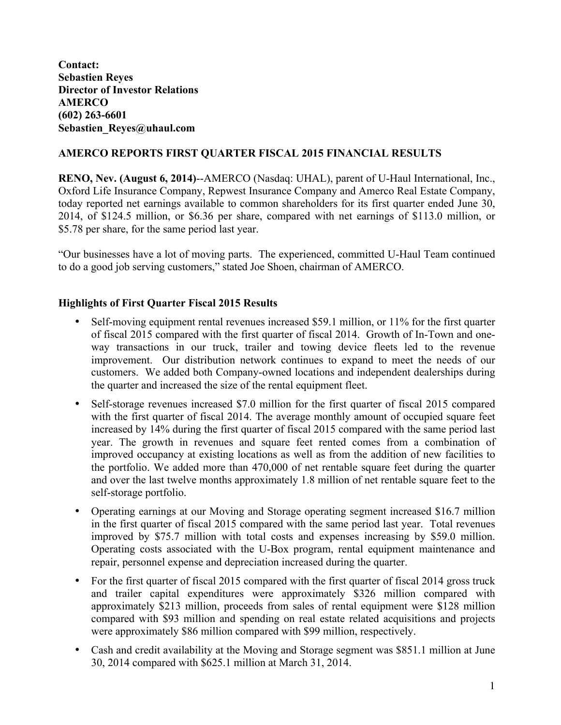**Contact: Sebastien Reyes Director of Investor Relations AMERCO (602) 263-6601 Sebastien\_Reyes@uhaul.com**

# **AMERCO REPORTS FIRST QUARTER FISCAL 2015 FINANCIAL RESULTS**

**RENO, Nev. (August 6, 2014)**--AMERCO (Nasdaq: UHAL), parent of U-Haul International, Inc., Oxford Life Insurance Company, Repwest Insurance Company and Amerco Real Estate Company, today reported net earnings available to common shareholders for its first quarter ended June 30, 2014, of \$124.5 million, or \$6.36 per share, compared with net earnings of \$113.0 million, or \$5.78 per share, for the same period last year.

"Our businesses have a lot of moving parts. The experienced, committed U-Haul Team continued to do a good job serving customers," stated Joe Shoen, chairman of AMERCO.

#### **Highlights of First Quarter Fiscal 2015 Results**

- Self-moving equipment rental revenues increased \$59.1 million, or 11% for the first quarter of fiscal 2015 compared with the first quarter of fiscal 2014. Growth of In-Town and oneway transactions in our truck, trailer and towing device fleets led to the revenue improvement. Our distribution network continues to expand to meet the needs of our customers. We added both Company-owned locations and independent dealerships during the quarter and increased the size of the rental equipment fleet.
- Self-storage revenues increased \$7.0 million for the first quarter of fiscal 2015 compared with the first quarter of fiscal 2014. The average monthly amount of occupied square feet increased by 14% during the first quarter of fiscal 2015 compared with the same period last year. The growth in revenues and square feet rented comes from a combination of improved occupancy at existing locations as well as from the addition of new facilities to the portfolio. We added more than 470,000 of net rentable square feet during the quarter and over the last twelve months approximately 1.8 million of net rentable square feet to the self-storage portfolio.
- Operating earnings at our Moving and Storage operating segment increased \$16.7 million in the first quarter of fiscal 2015 compared with the same period last year. Total revenues improved by \$75.7 million with total costs and expenses increasing by \$59.0 million. Operating costs associated with the U-Box program, rental equipment maintenance and repair, personnel expense and depreciation increased during the quarter.
- For the first quarter of fiscal 2015 compared with the first quarter of fiscal 2014 gross truck and trailer capital expenditures were approximately \$326 million compared with approximately \$213 million, proceeds from sales of rental equipment were \$128 million compared with \$93 million and spending on real estate related acquisitions and projects were approximately \$86 million compared with \$99 million, respectively.
- Cash and credit availability at the Moving and Storage segment was \$851.1 million at June 30, 2014 compared with \$625.1 million at March 31, 2014.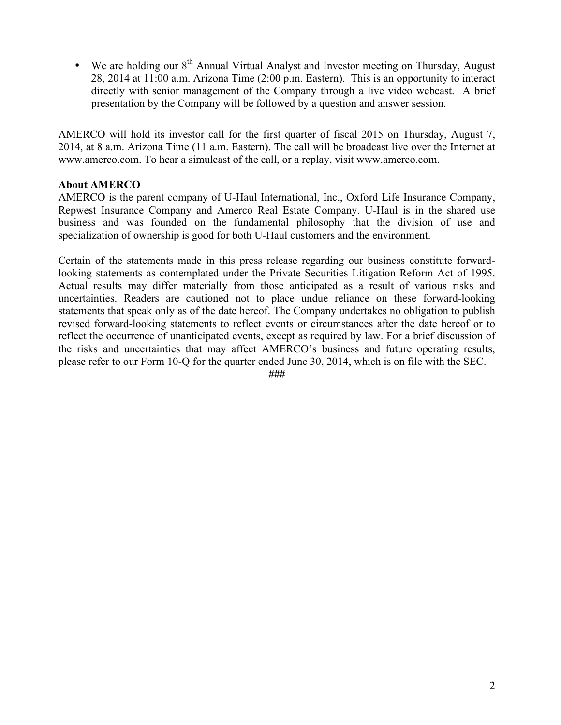• We are holding our 8<sup>th</sup> Annual Virtual Analyst and Investor meeting on Thursday, August 28, 2014 at 11:00 a.m. Arizona Time (2:00 p.m. Eastern). This is an opportunity to interact directly with senior management of the Company through a live video webcast. A brief presentation by the Company will be followed by a question and answer session.

AMERCO will hold its investor call for the first quarter of fiscal 2015 on Thursday, August 7, 2014, at 8 a.m. Arizona Time (11 a.m. Eastern). The call will be broadcast live over the Internet at www.amerco.com. To hear a simulcast of the call, or a replay, visit www.amerco.com.

#### **About AMERCO**

AMERCO is the parent company of U-Haul International, Inc., Oxford Life Insurance Company, Repwest Insurance Company and Amerco Real Estate Company. U-Haul is in the shared use business and was founded on the fundamental philosophy that the division of use and specialization of ownership is good for both U-Haul customers and the environment.

Certain of the statements made in this press release regarding our business constitute forwardlooking statements as contemplated under the Private Securities Litigation Reform Act of 1995. Actual results may differ materially from those anticipated as a result of various risks and uncertainties. Readers are cautioned not to place undue reliance on these forward-looking statements that speak only as of the date hereof. The Company undertakes no obligation to publish revised forward-looking statements to reflect events or circumstances after the date hereof or to reflect the occurrence of unanticipated events, except as required by law. For a brief discussion of the risks and uncertainties that may affect AMERCO's business and future operating results, please refer to our Form 10-Q for the quarter ended June 30, 2014, which is on file with the SEC.

*###*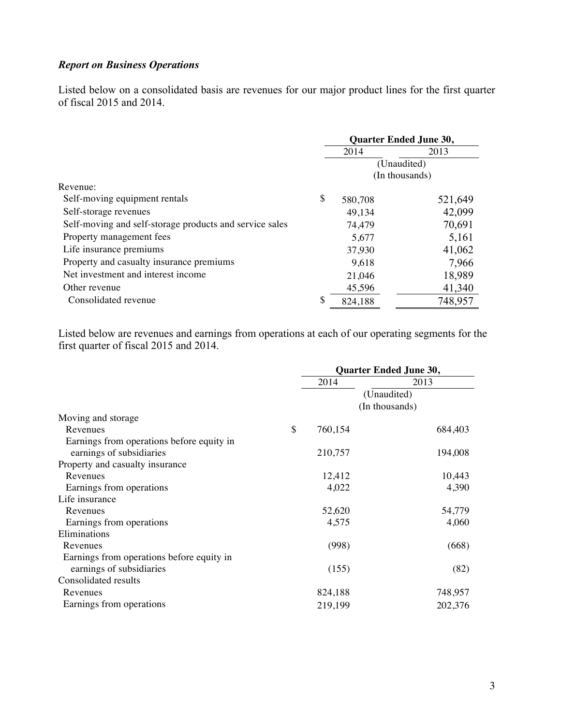### *Report on Business Operations*

Listed below on a consolidated basis are revenues for our major product lines for the first quarter of fiscal 2015 and 2014.

|                                                         | <b>Quarter Ended June 30,</b> |         |  |  |
|---------------------------------------------------------|-------------------------------|---------|--|--|
|                                                         | 2014<br>2013                  |         |  |  |
|                                                         | (Unaudited)                   |         |  |  |
|                                                         | (In thousands)                |         |  |  |
| Revenue:                                                |                               |         |  |  |
| Self-moving equipment rentals                           | \$<br>580,708                 | 521,649 |  |  |
| Self-storage revenues                                   | 49,134                        | 42,099  |  |  |
| Self-moving and self-storage products and service sales | 74,479                        | 70,691  |  |  |
| Property management fees                                | 5,677                         | 5,161   |  |  |
| Life insurance premiums                                 | 37,930                        | 41,062  |  |  |
| Property and casualty insurance premiums                | 9,618                         | 7,966   |  |  |
| Net investment and interest income                      | 21,046                        | 18,989  |  |  |
| Other revenue                                           | 45,596                        | 41,340  |  |  |
| Consolidated revenue                                    | \$<br>824,188                 | 748,957 |  |  |

Listed below are revenues and earnings from operations at each of our operating segments for the first quarter of fiscal 2015 and 2014.

|                                           |             | Quarter Ended June 30, |                |  |
|-------------------------------------------|-------------|------------------------|----------------|--|
|                                           |             | 2014                   | 2013           |  |
|                                           | (Unaudited) |                        |                |  |
|                                           |             |                        | (In thousands) |  |
| Moving and storage                        |             |                        |                |  |
| Revenues                                  | \$          | 760,154                | 684,403        |  |
| Earnings from operations before equity in |             |                        |                |  |
| earnings of subsidiaries                  |             | 210,757                | 194,008        |  |
| Property and casualty insurance           |             |                        |                |  |
| Revenues                                  |             | 12,412                 | 10,443         |  |
| Earnings from operations                  |             | 4,022                  | 4,390          |  |
| Life insurance                            |             |                        |                |  |
| Revenues                                  |             | 52,620                 | 54,779         |  |
| Earnings from operations                  |             | 4,575                  | 4,060          |  |
| Eliminations                              |             |                        |                |  |
| Revenues                                  |             | (998)                  | (668)          |  |
| Earnings from operations before equity in |             |                        |                |  |
| earnings of subsidiaries                  |             | (155)                  | (82)           |  |
| Consolidated results                      |             |                        |                |  |
| Revenues                                  |             | 824,188                | 748,957        |  |
| Earnings from operations                  |             | 219,199                | 202,376        |  |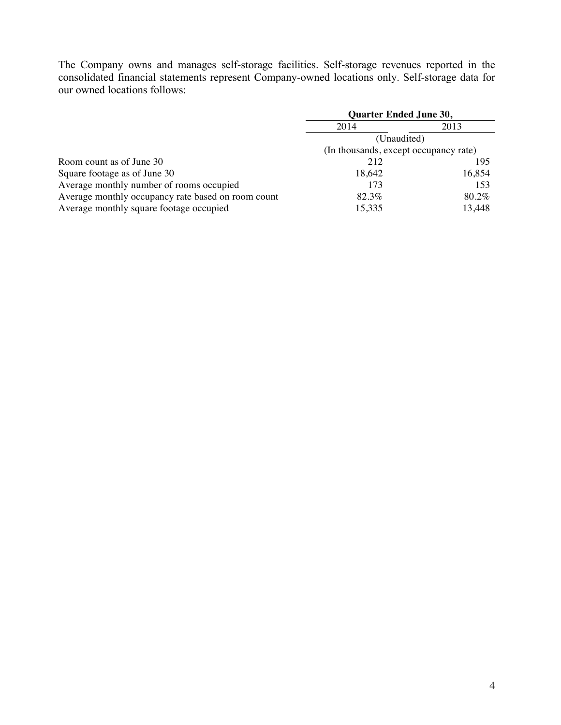The Company owns and manages self-storage facilities. Self-storage revenues reported in the consolidated financial statements represent Company-owned locations only. Self-storage data for our owned locations follows:

|                                                    | <b>Quarter Ended June 30,</b>         |        |  |
|----------------------------------------------------|---------------------------------------|--------|--|
|                                                    | 2014                                  | 2013   |  |
|                                                    | (Unaudited)                           |        |  |
|                                                    | (In thousands, except occupancy rate) |        |  |
| Room count as of June 30                           | 212                                   | 195    |  |
| Square footage as of June 30                       | 18,642                                | 16,854 |  |
| Average monthly number of rooms occupied           | 173                                   | 153    |  |
| Average monthly occupancy rate based on room count | 82.3%                                 | 80.2%  |  |
| Average monthly square footage occupied            | 15,335                                | 13,448 |  |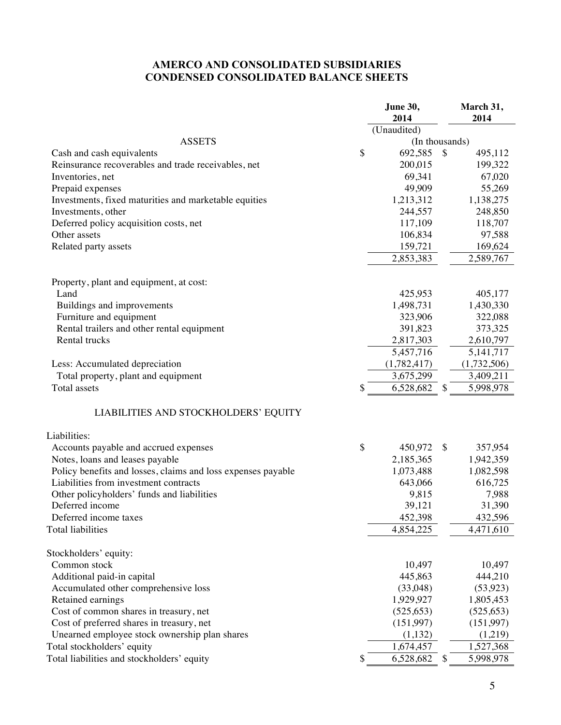## **AMERCO AND CONSOLIDATED SUBSIDIARIES CONDENSED CONSOLIDATED BALANCE SHEETS**

|                                                              | June 30,            | March 31,       |
|--------------------------------------------------------------|---------------------|-----------------|
|                                                              | 2014<br>(Unaudited) | 2014            |
| <b>ASSETS</b>                                                | (In thousands)      |                 |
| Cash and cash equivalents                                    | \$<br>692,585       | \$<br>495,112   |
| Reinsurance recoverables and trade receivables, net          | 200,015             | 199,322         |
| Inventories, net                                             | 69,341              | 67,020          |
| Prepaid expenses                                             | 49,909              | 55,269          |
| Investments, fixed maturities and marketable equities        | 1,213,312           | 1,138,275       |
| Investments, other                                           | 244,557             | 248,850         |
| Deferred policy acquisition costs, net                       | 117,109             | 118,707         |
| Other assets                                                 | 106,834             | 97,588          |
| Related party assets                                         | 159,721             | 169,624         |
|                                                              | 2,853,383           | 2,589,767       |
|                                                              |                     |                 |
| Property, plant and equipment, at cost:                      |                     |                 |
| Land                                                         | 425,953             | 405,177         |
| Buildings and improvements                                   | 1,498,731           | 1,430,330       |
| Furniture and equipment                                      | 323,906             | 322,088         |
| Rental trailers and other rental equipment                   | 391,823             | 373,325         |
| Rental trucks                                                | 2,817,303           | 2,610,797       |
|                                                              | 5,457,716           | 5, 141, 717     |
| Less: Accumulated depreciation                               | (1,782,417)         | (1,732,506)     |
| Total property, plant and equipment                          | 3,675,299           | 3,409,211       |
| Total assets                                                 | \$<br>6,528,682     | \$<br>5,998,978 |
| LIABILITIES AND STOCKHOLDERS' EQUITY                         |                     |                 |
| Liabilities:                                                 |                     |                 |
| Accounts payable and accrued expenses                        | \$<br>450,972       | \$<br>357,954   |
| Notes, loans and leases payable                              | 2,185,365           | 1,942,359       |
| Policy benefits and losses, claims and loss expenses payable | 1,073,488           | 1,082,598       |
| Liabilities from investment contracts                        | 643,066             | 616,725         |
| Other policyholders' funds and liabilities                   | 9,815               | 7,988           |
| Deferred income                                              | 39,121              | 31,390          |
| Deferred income taxes                                        | 452,398             | 432,596         |
| Total liabilities                                            | 4,854,225           | 4,471,610       |
| Stockholders' equity:                                        |                     |                 |
| Common stock                                                 | 10,497              | 10,497          |
| Additional paid-in capital                                   | 445,863             | 444,210         |
| Accumulated other comprehensive loss                         | (33,048)            | (53, 923)       |
| Retained earnings                                            | 1,929,927           | 1,805,453       |
| Cost of common shares in treasury, net                       | (525, 653)          | (525, 653)      |
| Cost of preferred shares in treasury, net                    | (151,997)           | (151,997)       |
| Unearned employee stock ownership plan shares                | (1,132)             | (1,219)         |
| Total stockholders' equity                                   | 1,674,457           | 1,527,368       |
| Total liabilities and stockholders' equity                   | \$<br>6,528,682     | \$<br>5,998,978 |